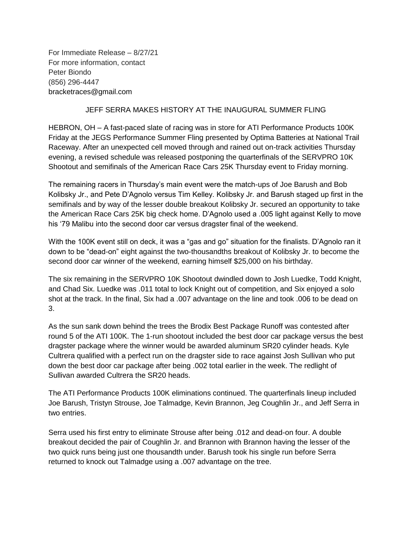For Immediate Release – 8/27/21 For more information, contact Peter Biondo (856) 296-4447 bracketraces@gmail.com

## JEFF SERRA MAKES HISTORY AT THE INAUGURAL SUMMER FLING

HEBRON, OH – A fast-paced slate of racing was in store for ATI Performance Products 100K Friday at the JEGS Performance Summer Fling presented by Optima Batteries at National Trail Raceway. After an unexpected cell moved through and rained out on-track activities Thursday evening, a revised schedule was released postponing the quarterfinals of the SERVPRO 10K Shootout and semifinals of the American Race Cars 25K Thursday event to Friday morning.

The remaining racers in Thursday's main event were the match-ups of Joe Barush and Bob Kolibsky Jr., and Pete D'Agnolo versus Tim Kelley. Kolibsky Jr. and Barush staged up first in the semifinals and by way of the lesser double breakout Kolibsky Jr. secured an opportunity to take the American Race Cars 25K big check home. D'Agnolo used a .005 light against Kelly to move his '79 Malibu into the second door car versus dragster final of the weekend.

With the 100K event still on deck, it was a "gas and go" situation for the finalists. D'Agnolo ran it down to be "dead-on" eight against the two-thousandths breakout of Kolibsky Jr. to become the second door car winner of the weekend, earning himself \$25,000 on his birthday.

The six remaining in the SERVPRO 10K Shootout dwindled down to Josh Luedke, Todd Knight, and Chad Six. Luedke was .011 total to lock Knight out of competition, and Six enjoyed a solo shot at the track. In the final, Six had a .007 advantage on the line and took .006 to be dead on 3.

As the sun sank down behind the trees the Brodix Best Package Runoff was contested after round 5 of the ATI 100K. The 1-run shootout included the best door car package versus the best dragster package where the winner would be awarded aluminum SR20 cylinder heads. Kyle Cultrera qualified with a perfect run on the dragster side to race against Josh Sullivan who put down the best door car package after being .002 total earlier in the week. The redlight of Sullivan awarded Cultrera the SR20 heads.

The ATI Performance Products 100K eliminations continued. The quarterfinals lineup included Joe Barush, Tristyn Strouse, Joe Talmadge, Kevin Brannon, Jeg Coughlin Jr., and Jeff Serra in two entries.

Serra used his first entry to eliminate Strouse after being .012 and dead-on four. A double breakout decided the pair of Coughlin Jr. and Brannon with Brannon having the lesser of the two quick runs being just one thousandth under. Barush took his single run before Serra returned to knock out Talmadge using a .007 advantage on the tree.